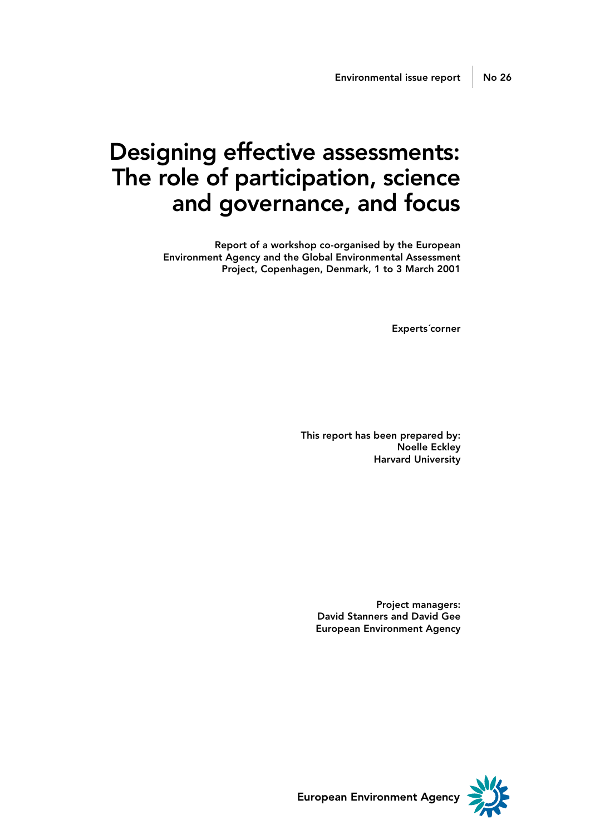# Designing effective assessments: The role of participation, science and governance, and focus

Report of a workshop co-organised by the European Environment Agency and the Global Environmental Assessment Project, Copenhagen, Denmark, 1 to 3 March 2001

Experts´corner

This report has been prepared by: Noelle Eckley Harvard University

Project managers: David Stanners and David Gee European Environment Agency



European Environment Agency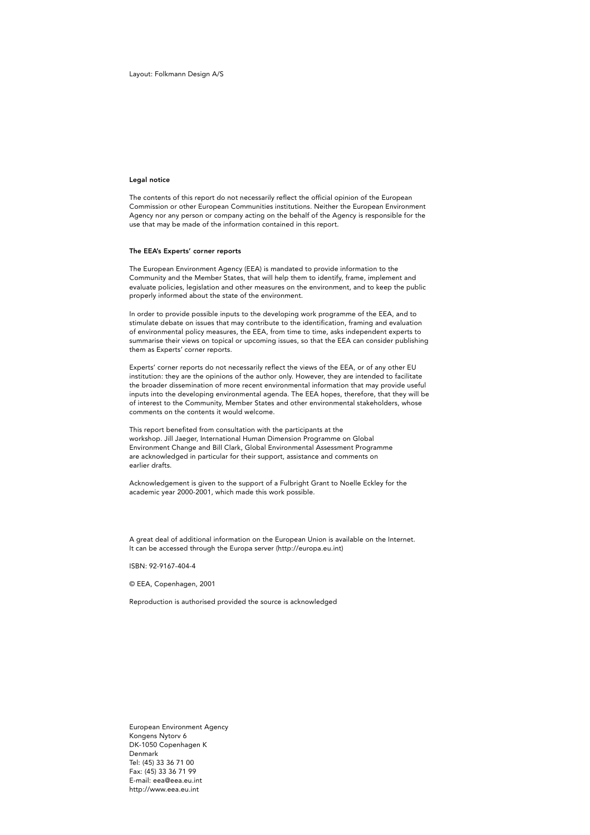Layout: Folkmann Design A/S

#### Legal notice

The contents of this report do not necessarily reflect the official opinion of the European Commission or other European Communities institutions. Neither the European Environment Agency nor any person or company acting on the behalf of the Agency is responsible for the use that may be made of the information contained in this report.

#### The EEA's Experts' corner reports

The European Environment Agency (EEA) is mandated to provide information to the Community and the Member States, that will help them to identify, frame, implement and evaluate policies, legislation and other measures on the environment, and to keep the public properly informed about the state of the environment.

In order to provide possible inputs to the developing work programme of the EEA, and to stimulate debate on issues that may contribute to the identification, framing and evaluation of environmental policy measures, the EEA, from time to time, asks independent experts to summarise their views on topical or upcoming issues, so that the EEA can consider publishing them as Experts' corner reports.

Experts' corner reports do not necessarily reflect the views of the EEA, or of any other EU institution: they are the opinions of the author only. However, they are intended to facilitate the broader dissemination of more recent environmental information that may provide useful inputs into the developing environmental agenda. The EEA hopes, therefore, that they will be of interest to the Community, Member States and other environmental stakeholders, whose comments on the contents it would welcome.

This report benefited from consultation with the participants at the workshop. Jill Jaeger, International Human Dimension Programme on Global Environment Change and Bill Clark, Global Environmental Assessment Programme are acknowledged in particular for their support, assistance and comments on earlier drafts.

Acknowledgement is given to the support of a Fulbright Grant to Noelle Eckley for the academic year 2000-2001, which made this work possible.

A great deal of additional information on the European Union is available on the Internet. It can be accessed through the Europa server (http://europa.eu.int)

ISBN: 92-9167-404-4

© EEA, Copenhagen, 2001

Reproduction is authorised provided the source is acknowledged

European Environment Agency Kongens Nytorv 6 DK-1050 Copenhagen K Denmark Tel: (45) 33 36 71 00 Fax: (45) 33 36 71 99 E-mail: eea@eea.eu.int http://www.eea.eu.int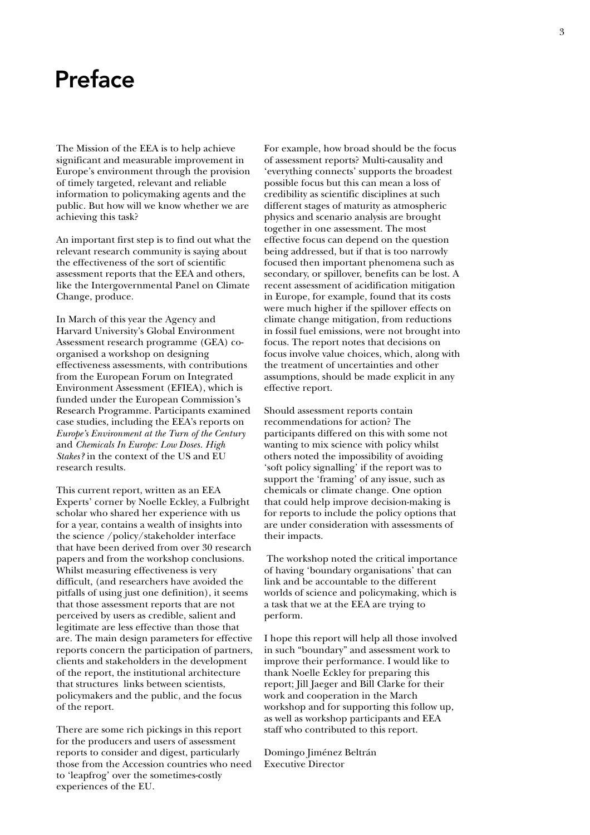### Preface

The Mission of the EEA is to help achieve significant and measurable improvement in Europe's environment through the provision of timely targeted, relevant and reliable information to policymaking agents and the public. But how will we know whether we are achieving this task?

An important first step is to find out what the relevant research community is saying about the effectiveness of the sort of scientific assessment reports that the EEA and others, like the Intergovernmental Panel on Climate Change, produce.

In March of this year the Agency and Harvard University's Global Environment Assessment research programme (GEA) coorganised a workshop on designing effectiveness assessments, with contributions from the European Forum on Integrated Environment Assessment (EFIEA), which is funded under the European Commission's Research Programme. Participants examined case studies, including the EEA's reports on *Europe's Environment at the Turn of the Century* and *Chemicals In Europe: Low Doses. High Stakes?* in the context of the US and EU research results.

This current report, written as an EEA Experts' corner by Noelle Eckley, a Fulbright scholar who shared her experience with us for a year, contains a wealth of insights into the science /policy/stakeholder interface that have been derived from over 30 research papers and from the workshop conclusions. Whilst measuring effectiveness is very difficult, (and researchers have avoided the pitfalls of using just one definition), it seems that those assessment reports that are not perceived by users as credible, salient and legitimate are less effective than those that are. The main design parameters for effective reports concern the participation of partners, clients and stakeholders in the development of the report, the institutional architecture that structures links between scientists, policymakers and the public, and the focus of the report.

There are some rich pickings in this report for the producers and users of assessment reports to consider and digest, particularly those from the Accession countries who need to 'leapfrog' over the sometimes-costly experiences of the EU.

For example, how broad should be the focus of assessment reports? Multi-causality and 'everything connects' supports the broadest possible focus but this can mean a loss of credibility as scientific disciplines at such different stages of maturity as atmospheric physics and scenario analysis are brought together in one assessment. The most effective focus can depend on the question being addressed, but if that is too narrowly focused then important phenomena such as secondary, or spillover, benefits can be lost. A recent assessment of acidification mitigation in Europe, for example, found that its costs were much higher if the spillover effects on climate change mitigation, from reductions in fossil fuel emissions, were not brought into focus. The report notes that decisions on focus involve value choices, which, along with the treatment of uncertainties and other assumptions, should be made explicit in any effective report.

Should assessment reports contain recommendations for action? The participants differed on this with some not wanting to mix science with policy whilst others noted the impossibility of avoiding 'soft policy signalling' if the report was to support the 'framing' of any issue, such as chemicals or climate change. One option that could help improve decision-making is for reports to include the policy options that are under consideration with assessments of their impacts.

 The workshop noted the critical importance of having 'boundary organisations' that can link and be accountable to the different worlds of science and policymaking, which is a task that we at the EEA are trying to perform.

I hope this report will help all those involved in such "boundary" and assessment work to improve their performance. I would like to thank Noelle Eckley for preparing this report; Jill Jaeger and Bill Clarke for their work and cooperation in the March workshop and for supporting this follow up, as well as workshop participants and EEA staff who contributed to this report.

Domingo Jiménez Beltrán Executive Director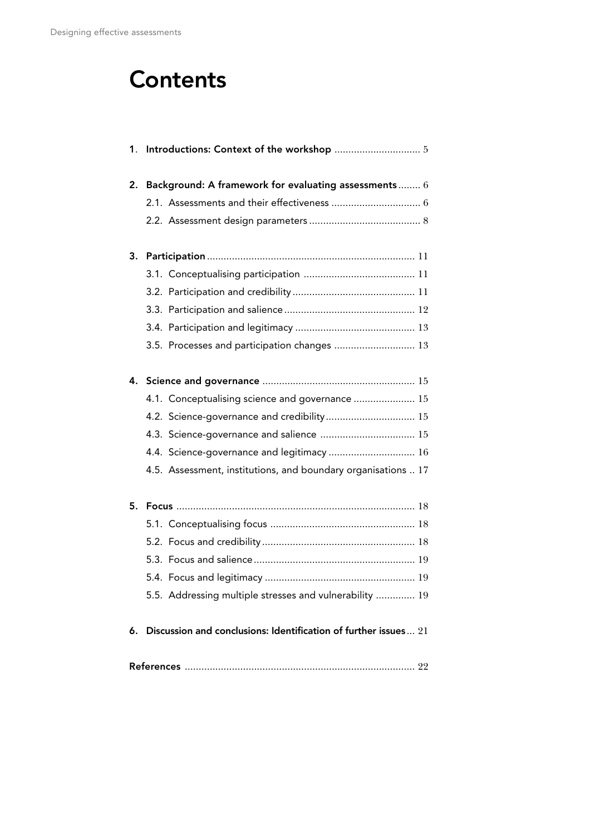# **Contents**

|    | 2. Background: A framework for evaluating assessments 6             |
|----|---------------------------------------------------------------------|
|    |                                                                     |
|    |                                                                     |
| 3. |                                                                     |
|    |                                                                     |
|    |                                                                     |
|    |                                                                     |
|    |                                                                     |
|    | 3.5. Processes and participation changes  13                        |
|    |                                                                     |
|    | 4.1. Conceptualising science and governance  15                     |
|    | 4.2. Science-governance and credibility 15                          |
|    | 4.3. Science-governance and salience  15                            |
|    | 4.4. Science-governance and legitimacy  16                          |
|    | 4.5. Assessment, institutions, and boundary organisations  17       |
| 5. |                                                                     |
|    |                                                                     |
|    |                                                                     |
|    |                                                                     |
|    |                                                                     |
|    | 5.5. Addressing multiple stresses and vulnerability  19             |
|    | 6. Discussion and conclusions: Identification of further issues  21 |
|    |                                                                     |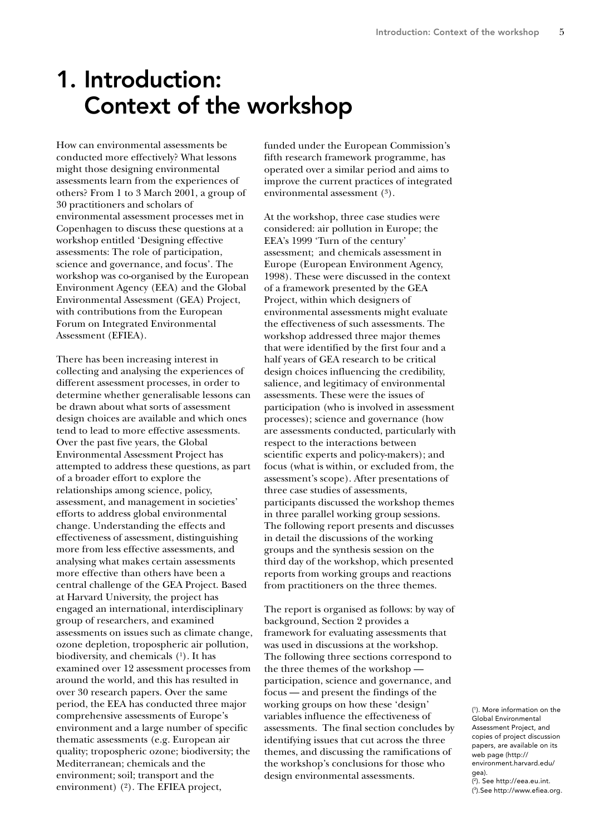## 1. Introduction: Context of the workshop

How can environmental assessments be conducted more effectively? What lessons might those designing environmental assessments learn from the experiences of others? From 1 to 3 March 2001, a group of 30 practitioners and scholars of environmental assessment processes met in Copenhagen to discuss these questions at a workshop entitled 'Designing effective assessments: The role of participation, science and governance, and focus'. The workshop was co-organised by the European Environment Agency (EEA) and the Global Environmental Assessment (GEA) Project, with contributions from the European Forum on Integrated Environmental Assessment (EFIEA).

There has been increasing interest in collecting and analysing the experiences of different assessment processes, in order to determine whether generalisable lessons can be drawn about what sorts of assessment design choices are available and which ones tend to lead to more effective assessments. Over the past five years, the Global Environmental Assessment Project has attempted to address these questions, as part of a broader effort to explore the relationships among science, policy, assessment, and management in societies' efforts to address global environmental change. Understanding the effects and effectiveness of assessment, distinguishing more from less effective assessments, and analysing what makes certain assessments more effective than others have been a central challenge of the GEA Project. Based at Harvard University, the project has engaged an international, interdisciplinary group of researchers, and examined assessments on issues such as climate change, ozone depletion, tropospheric air pollution, biodiversity, and chemicals  $(^1)$ . It has examined over 12 assessment processes from around the world, and this has resulted in over 30 research papers. Over the same period, the EEA has conducted three major comprehensive assessments of Europe's environment and a large number of specific thematic assessments (e.g. European air quality; tropospheric ozone; biodiversity; the Mediterranean; chemicals and the environment; soil; transport and the environment) (2). The EFIEA project,

funded under the European Commission's fifth research framework programme, has operated over a similar period and aims to improve the current practices of integrated environmental assessment (3).

At the workshop, three case studies were considered: air pollution in Europe; the EEA's 1999 'Turn of the century' assessment; and chemicals assessment in Europe (European Environment Agency, 1998). These were discussed in the context of a framework presented by the GEA Project, within which designers of environmental assessments might evaluate the effectiveness of such assessments. The workshop addressed three major themes that were identified by the first four and a half years of GEA research to be critical design choices influencing the credibility, salience, and legitimacy of environmental assessments. These were the issues of participation (who is involved in assessment processes); science and governance (how are assessments conducted, particularly with respect to the interactions between scientific experts and policy-makers); and focus (what is within, or excluded from, the assessment's scope). After presentations of three case studies of assessments, participants discussed the workshop themes in three parallel working group sessions. The following report presents and discusses in detail the discussions of the working groups and the synthesis session on the third day of the workshop, which presented reports from working groups and reactions from practitioners on the three themes.

The report is organised as follows: by way of background, Section 2 provides a framework for evaluating assessments that was used in discussions at the workshop. The following three sections correspond to the three themes of the workshop participation, science and governance, and focus — and present the findings of the working groups on how these 'design' variables influence the effectiveness of assessments. The final section concludes by identifying issues that cut across the three themes, and discussing the ramifications of the workshop's conclusions for those who design environmental assessments.

( 1 ). More information on the Global Environmental Assessment Project, and copies of project discussion papers, are available on its web page (http:// environment.harvard.edu/ gea).

( 2). See http://eea.eu.int. ( 3 ).See http://www.efiea.org.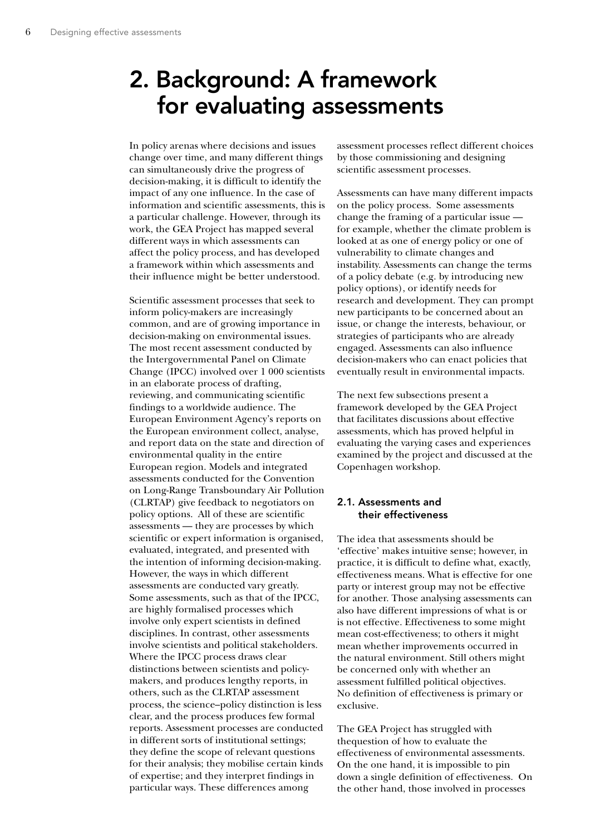## 2. Background: A framework for evaluating assessments

In policy arenas where decisions and issues change over time, and many different things can simultaneously drive the progress of decision-making, it is difficult to identify the impact of any one influence. In the case of information and scientific assessments, this is a particular challenge. However, through its work, the GEA Project has mapped several different ways in which assessments can affect the policy process, and has developed a framework within which assessments and their influence might be better understood.

Scientific assessment processes that seek to inform policy-makers are increasingly common, and are of growing importance in decision-making on environmental issues. The most recent assessment conducted by the Intergovernmental Panel on Climate Change (IPCC) involved over 1 000 scientists in an elaborate process of drafting, reviewing, and communicating scientific findings to a worldwide audience. The European Environment Agency's reports on the European environment collect, analyse, and report data on the state and direction of environmental quality in the entire European region. Models and integrated assessments conducted for the Convention on Long-Range Transboundary Air Pollution (CLRTAP) give feedback to negotiators on policy options. All of these are scientific assessments — they are processes by which scientific or expert information is organised, evaluated, integrated, and presented with the intention of informing decision-making. However, the ways in which different assessments are conducted vary greatly. Some assessments, such as that of the IPCC, are highly formalised processes which involve only expert scientists in defined disciplines. In contrast, other assessments involve scientists and political stakeholders. Where the IPCC process draws clear distinctions between scientists and policymakers, and produces lengthy reports, in others, such as the CLRTAP assessment process, the science–policy distinction is less clear, and the process produces few formal reports. Assessment processes are conducted in different sorts of institutional settings; they define the scope of relevant questions for their analysis; they mobilise certain kinds of expertise; and they interpret findings in particular ways. These differences among

assessment processes reflect different choices by those commissioning and designing scientific assessment processes.

Assessments can have many different impacts on the policy process. Some assessments change the framing of a particular issue for example, whether the climate problem is looked at as one of energy policy or one of vulnerability to climate changes and instability. Assessments can change the terms of a policy debate (e.g. by introducing new policy options), or identify needs for research and development. They can prompt new participants to be concerned about an issue, or change the interests, behaviour, or strategies of participants who are already engaged. Assessments can also influence decision-makers who can enact policies that eventually result in environmental impacts.

The next few subsections present a framework developed by the GEA Project that facilitates discussions about effective assessments, which has proved helpful in evaluating the varying cases and experiences examined by the project and discussed at the Copenhagen workshop.

### 2.1. Assessments and their effectiveness

The idea that assessments should be 'effective' makes intuitive sense; however, in practice, it is difficult to define what, exactly, effectiveness means. What is effective for one party or interest group may not be effective for another. Those analysing assessments can also have different impressions of what is or is not effective. Effectiveness to some might mean cost-effectiveness; to others it might mean whether improvements occurred in the natural environment. Still others might be concerned only with whether an assessment fulfilled political objectives. No definition of effectiveness is primary or exclusive.

The GEA Project has struggled with thequestion of how to evaluate the effectiveness of environmental assessments. On the one hand, it is impossible to pin down a single definition of effectiveness. On the other hand, those involved in processes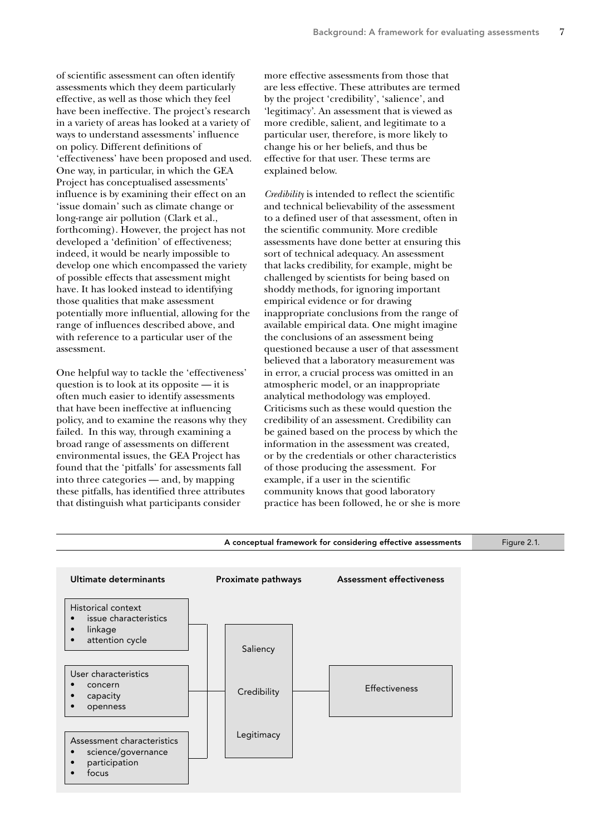of scientific assessment can often identify assessments which they deem particularly effective, as well as those which they feel have been ineffective. The project's research in a variety of areas has looked at a variety of ways to understand assessments' influence on policy. Different definitions of 'effectiveness' have been proposed and used. One way, in particular, in which the GEA Project has conceptualised assessments' influence is by examining their effect on an 'issue domain' such as climate change or long-range air pollution (Clark et al., forthcoming). However, the project has not developed a 'definition' of effectiveness; indeed, it would be nearly impossible to develop one which encompassed the variety of possible effects that assessment might have. It has looked instead to identifying those qualities that make assessment potentially more influential, allowing for the range of influences described above, and with reference to a particular user of the assessment.

One helpful way to tackle the 'effectiveness' question is to look at its opposite — it is often much easier to identify assessments that have been ineffective at influencing policy, and to examine the reasons why they failed. In this way, through examining a broad range of assessments on different environmental issues, the GEA Project has found that the 'pitfalls' for assessments fall into three categories — and, by mapping these pitfalls, has identified three attributes that distinguish what participants consider

more effective assessments from those that are less effective. These attributes are termed by the project 'credibility', 'salience', and 'legitimacy'. An assessment that is viewed as more credible, salient, and legitimate to a particular user, therefore, is more likely to change his or her beliefs, and thus be effective for that user. These terms are explained below.

*Credibility* is intended to reflect the scientific and technical believability of the assessment to a defined user of that assessment, often in the scientific community. More credible assessments have done better at ensuring this sort of technical adequacy. An assessment that lacks credibility, for example, might be challenged by scientists for being based on shoddy methods, for ignoring important empirical evidence or for drawing inappropriate conclusions from the range of available empirical data. One might imagine the conclusions of an assessment being questioned because a user of that assessment believed that a laboratory measurement was in error, a crucial process was omitted in an atmospheric model, or an inappropriate analytical methodology was employed. Criticisms such as these would question the credibility of an assessment. Credibility can be gained based on the process by which the information in the assessment was created, or by the credentials or other characteristics of those producing the assessment. For example, if a user in the scientific community knows that good laboratory practice has been followed, he or she is more

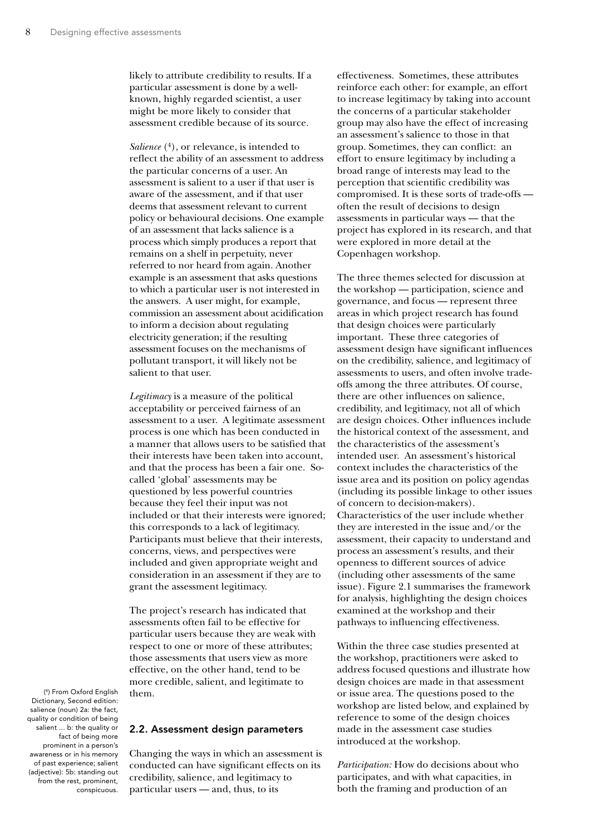likely to attribute credibility to results. If a particular assessment is done by a wellknown, highly regarded scientist, a user might be more likely to consider that assessment credible because of its source.

*Salience* (4), or relevance, is intended to reflect the ability of an assessment to address the particular concerns of a user. An assessment is salient to a user if that user is aware of the assessment, and if that user deems that assessment relevant to current policy or behavioural decisions. One example of an assessment that lacks salience is a process which simply produces a report that remains on a shelf in perpetuity, never referred to nor heard from again. Another example is an assessment that asks questions to which a particular user is not interested in the answers. A user might, for example, commission an assessment about acidification to inform a decision about regulating electricity generation; if the resulting assessment focuses on the mechanisms of pollutant transport, it will likely not be salient to that user.

*Legitimacy* is a measure of the political acceptability or perceived fairness of an assessment to a user. A legitimate assessment process is one which has been conducted in a manner that allows users to be satisfied that their interests have been taken into account, and that the process has been a fair one. Socalled 'global' assessments may be questioned by less powerful countries because they feel their input was not included or that their interests were ignored; this corresponds to a lack of legitimacy. Participants must believe that their interests, concerns, views, and perspectives were included and given appropriate weight and consideration in an assessment if they are to grant the assessment legitimacy.

The project's research has indicated that assessments often fail to be effective for particular users because they are weak with respect to one or more of these attributes; those assessments that users view as more effective, on the other hand, tend to be more credible, salient, and legitimate to them.

( 4 ) From Oxford English Dictionary, Second edition: salience (noun) 2a: the fact, quality or condition of being salient ... b: the quality or fact of being more prominent in a person's awareness or in his memory of past experience; salient (adjective): 5b: standing out from the rest, prominent, conspicuous.

### 2.2. Assessment design parameters

Changing the ways in which an assessment is conducted can have significant effects on its credibility, salience, and legitimacy to particular users — and, thus, to its

effectiveness. Sometimes, these attributes reinforce each other: for example, an effort to increase legitimacy by taking into account the concerns of a particular stakeholder group may also have the effect of increasing an assessment's salience to those in that group. Sometimes, they can conflict: an effort to ensure legitimacy by including a broad range of interests may lead to the perception that scientific credibility was compromised. It is these sorts of trade-offs often the result of decisions to design assessments in particular ways — that the project has explored in its research, and that were explored in more detail at the Copenhagen workshop.

The three themes selected for discussion at the workshop — participation, science and governance, and focus — represent three areas in which project research has found that design choices were particularly important. These three categories of assessment design have significant influences on the credibility, salience, and legitimacy of assessments to users, and often involve tradeoffs among the three attributes. Of course, there are other influences on salience, credibility, and legitimacy, not all of which are design choices. Other influences include the historical context of the assessment, and the characteristics of the assessment's intended user. An assessment's historical context includes the characteristics of the issue area and its position on policy agendas (including its possible linkage to other issues of concern to decision-makers). Characteristics of the user include whether they are interested in the issue and/or the assessment, their capacity to understand and process an assessment's results, and their openness to different sources of advice (including other assessments of the same issue). Figure 2.1 summarises the framework for analysis, highlighting the design choices examined at the workshop and their pathways to influencing effectiveness.

Within the three case studies presented at the workshop, practitioners were asked to address focused questions and illustrate how design choices are made in that assessment or issue area. The questions posed to the workshop are listed below, and explained by reference to some of the design choices made in the assessment case studies introduced at the workshop.

*Participation:* How do decisions about who participates, and with what capacities, in both the framing and production of an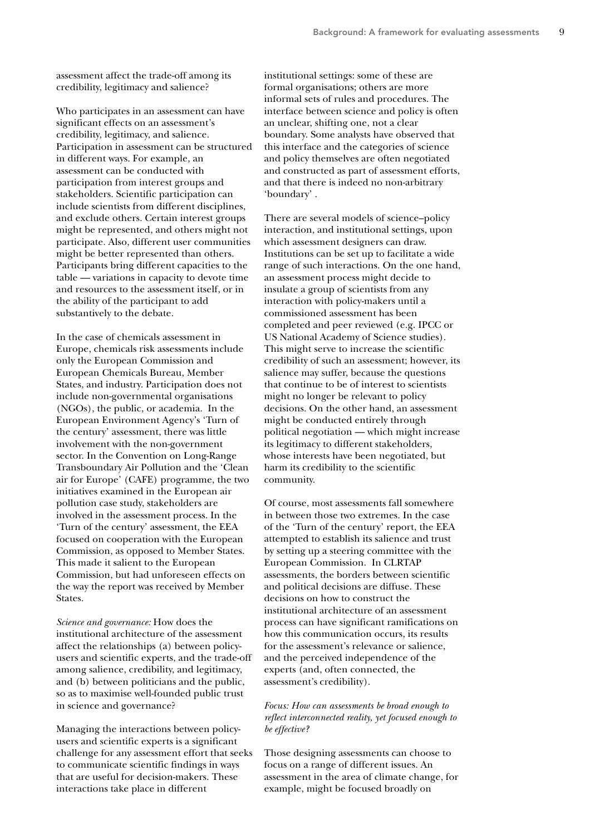assessment affect the trade-off among its credibility, legitimacy and salience?

Who participates in an assessment can have significant effects on an assessment's credibility, legitimacy, and salience. Participation in assessment can be structured in different ways. For example, an assessment can be conducted with participation from interest groups and stakeholders. Scientific participation can include scientists from different disciplines, and exclude others. Certain interest groups might be represented, and others might not participate. Also, different user communities might be better represented than others. Participants bring different capacities to the table — variations in capacity to devote time and resources to the assessment itself, or in the ability of the participant to add substantively to the debate.

In the case of chemicals assessment in Europe, chemicals risk assessments include only the European Commission and European Chemicals Bureau, Member States, and industry. Participation does not include non-governmental organisations (NGOs), the public, or academia. In the European Environment Agency's 'Turn of the century' assessment, there was little involvement with the non-government sector. In the Convention on Long-Range Transboundary Air Pollution and the 'Clean air for Europe' (CAFE) programme, the two initiatives examined in the European air pollution case study, stakeholders are involved in the assessment process. In the 'Turn of the century' assessment, the EEA focused on cooperation with the European Commission, as opposed to Member States. This made it salient to the European Commission, but had unforeseen effects on the way the report was received by Member States.

*Science and governance:* How does the institutional architecture of the assessment affect the relationships (a) between policyusers and scientific experts, and the trade-off among salience, credibility, and legitimacy, and (b) between politicians and the public, so as to maximise well-founded public trust in science and governance?

Managing the interactions between policyusers and scientific experts is a significant challenge for any assessment effort that seeks to communicate scientific findings in ways that are useful for decision-makers. These interactions take place in different

institutional settings: some of these are formal organisations; others are more informal sets of rules and procedures. The interface between science and policy is often an unclear, shifting one, not a clear boundary. Some analysts have observed that this interface and the categories of science and policy themselves are often negotiated and constructed as part of assessment efforts, and that there is indeed no non-arbitrary 'boundary' .

There are several models of science–policy interaction, and institutional settings, upon which assessment designers can draw. Institutions can be set up to facilitate a wide range of such interactions. On the one hand, an assessment process might decide to insulate a group of scientists from any interaction with policy-makers until a commissioned assessment has been completed and peer reviewed (e.g. IPCC or US National Academy of Science studies). This might serve to increase the scientific credibility of such an assessment; however, its salience may suffer, because the questions that continue to be of interest to scientists might no longer be relevant to policy decisions. On the other hand, an assessment might be conducted entirely through political negotiation — which might increase its legitimacy to different stakeholders, whose interests have been negotiated, but harm its credibility to the scientific community.

Of course, most assessments fall somewhere in between those two extremes. In the case of the 'Turn of the century' report, the EEA attempted to establish its salience and trust by setting up a steering committee with the European Commission. In CLRTAP assessments, the borders between scientific and political decisions are diffuse. These decisions on how to construct the institutional architecture of an assessment process can have significant ramifications on how this communication occurs, its results for the assessment's relevance or salience, and the perceived independence of the experts (and, often connected, the assessment's credibility).

*Focus: How can assessments be broad enough to reflect interconnected reality, yet focused enough to be effective?*

Those designing assessments can choose to focus on a range of different issues. An assessment in the area of climate change, for example, might be focused broadly on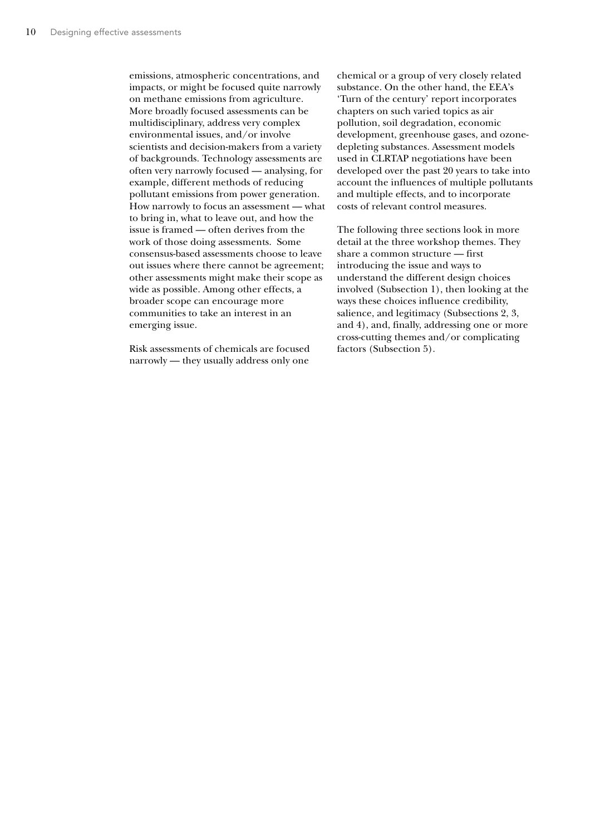emissions, atmospheric concentrations, and impacts, or might be focused quite narrowly on methane emissions from agriculture. More broadly focused assessments can be multidisciplinary, address very complex environmental issues, and/or involve scientists and decision-makers from a variety of backgrounds. Technology assessments are often very narrowly focused — analysing, for example, different methods of reducing pollutant emissions from power generation. How narrowly to focus an assessment — what to bring in, what to leave out, and how the issue is framed — often derives from the work of those doing assessments. Some consensus-based assessments choose to leave out issues where there cannot be agreement; other assessments might make their scope as wide as possible. Among other effects, a broader scope can encourage more communities to take an interest in an emerging issue.

Risk assessments of chemicals are focused narrowly — they usually address only one chemical or a group of very closely related substance. On the other hand, the EEA's 'Turn of the century' report incorporates chapters on such varied topics as air pollution, soil degradation, economic development, greenhouse gases, and ozonedepleting substances. Assessment models used in CLRTAP negotiations have been developed over the past 20 years to take into account the influences of multiple pollutants and multiple effects, and to incorporate costs of relevant control measures.

The following three sections look in more detail at the three workshop themes. They share a common structure — first introducing the issue and ways to understand the different design choices involved (Subsection 1), then looking at the ways these choices influence credibility, salience, and legitimacy (Subsections 2, 3, and 4), and, finally, addressing one or more cross-cutting themes and/or complicating factors (Subsection 5).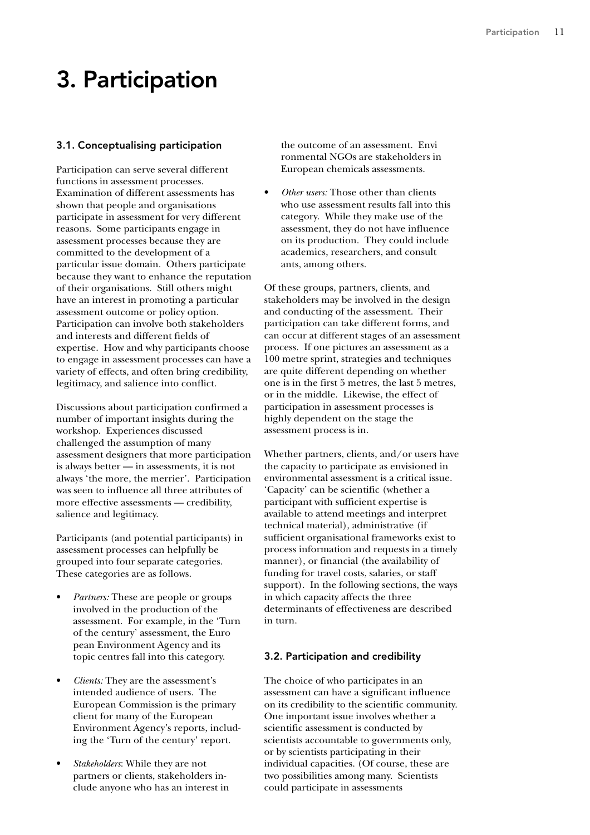## 3. Participation

### 3.1. Conceptualising participation

Participation can serve several different functions in assessment processes. Examination of different assessments has shown that people and organisations participate in assessment for very different reasons. Some participants engage in assessment processes because they are committed to the development of a particular issue domain. Others participate because they want to enhance the reputation of their organisations. Still others might have an interest in promoting a particular assessment outcome or policy option. Participation can involve both stakeholders and interests and different fields of expertise. How and why participants choose to engage in assessment processes can have a variety of effects, and often bring credibility, legitimacy, and salience into conflict.

Discussions about participation confirmed a number of important insights during the workshop. Experiences discussed challenged the assumption of many assessment designers that more participation is always better — in assessments, it is not always 'the more, the merrier'. Participation was seen to influence all three attributes of more effective assessments — credibility, salience and legitimacy.

Participants (and potential participants) in assessment processes can helpfully be grouped into four separate categories. These categories are as follows.

- *Partners:* These are people or groups involved in the production of the assessment. For example, in the 'Turn of the century' assessment, the Euro pean Environment Agency and its topic centres fall into this category.
- *Clients:* They are the assessment's intended audience of users. The European Commission is the primary client for many of the European Environment Agency's reports, including the 'Turn of the century' report.
- *Stakeholders*: While they are not partners or clients, stakeholders include anyone who has an interest in

the outcome of an assessment. Envi ronmental NGOs are stakeholders in European chemicals assessments.

• *Other users:* Those other than clients who use assessment results fall into this category. While they make use of the assessment, they do not have influence on its production. They could include academics, researchers, and consult ants, among others.

Of these groups, partners, clients, and stakeholders may be involved in the design and conducting of the assessment. Their participation can take different forms, and can occur at different stages of an assessment process. If one pictures an assessment as a 100 metre sprint, strategies and techniques are quite different depending on whether one is in the first 5 metres, the last 5 metres, or in the middle. Likewise, the effect of participation in assessment processes is highly dependent on the stage the assessment process is in.

Whether partners, clients, and/or users have the capacity to participate as envisioned in environmental assessment is a critical issue. 'Capacity' can be scientific (whether a participant with sufficient expertise is available to attend meetings and interpret technical material), administrative (if sufficient organisational frameworks exist to process information and requests in a timely manner), or financial (the availability of funding for travel costs, salaries, or staff support). In the following sections, the ways in which capacity affects the three determinants of effectiveness are described in turn.

### 3.2. Participation and credibility

The choice of who participates in an assessment can have a significant influence on its credibility to the scientific community. One important issue involves whether a scientific assessment is conducted by scientists accountable to governments only, or by scientists participating in their individual capacities. (Of course, these are two possibilities among many. Scientists could participate in assessments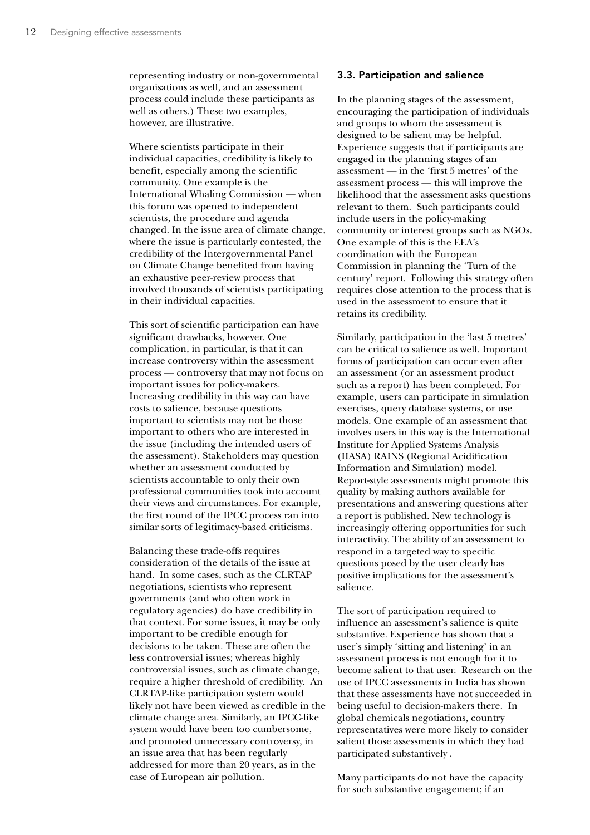representing industry or non-governmental organisations as well, and an assessment process could include these participants as well as others.) These two examples, however, are illustrative.

Where scientists participate in their individual capacities, credibility is likely to benefit, especially among the scientific community. One example is the International Whaling Commission — when this forum was opened to independent scientists, the procedure and agenda changed. In the issue area of climate change, where the issue is particularly contested, the credibility of the Intergovernmental Panel on Climate Change benefited from having an exhaustive peer-review process that involved thousands of scientists participating in their individual capacities.

This sort of scientific participation can have significant drawbacks, however. One complication, in particular, is that it can increase controversy within the assessment process — controversy that may not focus on important issues for policy-makers. Increasing credibility in this way can have costs to salience, because questions important to scientists may not be those important to others who are interested in the issue (including the intended users of the assessment). Stakeholders may question whether an assessment conducted by scientists accountable to only their own professional communities took into account their views and circumstances. For example, the first round of the IPCC process ran into similar sorts of legitimacy-based criticisms.

Balancing these trade-offs requires consideration of the details of the issue at hand. In some cases, such as the CLRTAP negotiations, scientists who represent governments (and who often work in regulatory agencies) do have credibility in that context. For some issues, it may be only important to be credible enough for decisions to be taken. These are often the less controversial issues; whereas highly controversial issues, such as climate change, require a higher threshold of credibility. An CLRTAP-like participation system would likely not have been viewed as credible in the climate change area. Similarly, an IPCC-like system would have been too cumbersome, and promoted unnecessary controversy, in an issue area that has been regularly addressed for more than 20 years, as in the case of European air pollution.

### 3.3. Participation and salience

In the planning stages of the assessment, encouraging the participation of individuals and groups to whom the assessment is designed to be salient may be helpful. Experience suggests that if participants are engaged in the planning stages of an assessment — in the 'first 5 metres' of the assessment process — this will improve the likelihood that the assessment asks questions relevant to them. Such participants could include users in the policy-making community or interest groups such as NGOs. One example of this is the EEA's coordination with the European Commission in planning the 'Turn of the century' report. Following this strategy often requires close attention to the process that is used in the assessment to ensure that it retains its credibility.

Similarly, participation in the 'last 5 metres' can be critical to salience as well. Important forms of participation can occur even after an assessment (or an assessment product such as a report) has been completed. For example, users can participate in simulation exercises, query database systems, or use models. One example of an assessment that involves users in this way is the International Institute for Applied Systems Analysis (IIASA) RAINS (Regional Acidification Information and Simulation) model. Report-style assessments might promote this quality by making authors available for presentations and answering questions after a report is published. New technology is increasingly offering opportunities for such interactivity. The ability of an assessment to respond in a targeted way to specific questions posed by the user clearly has positive implications for the assessment's salience.

The sort of participation required to influence an assessment's salience is quite substantive. Experience has shown that a user's simply 'sitting and listening' in an assessment process is not enough for it to become salient to that user. Research on the use of IPCC assessments in India has shown that these assessments have not succeeded in being useful to decision-makers there. In global chemicals negotiations, country representatives were more likely to consider salient those assessments in which they had participated substantively .

Many participants do not have the capacity for such substantive engagement; if an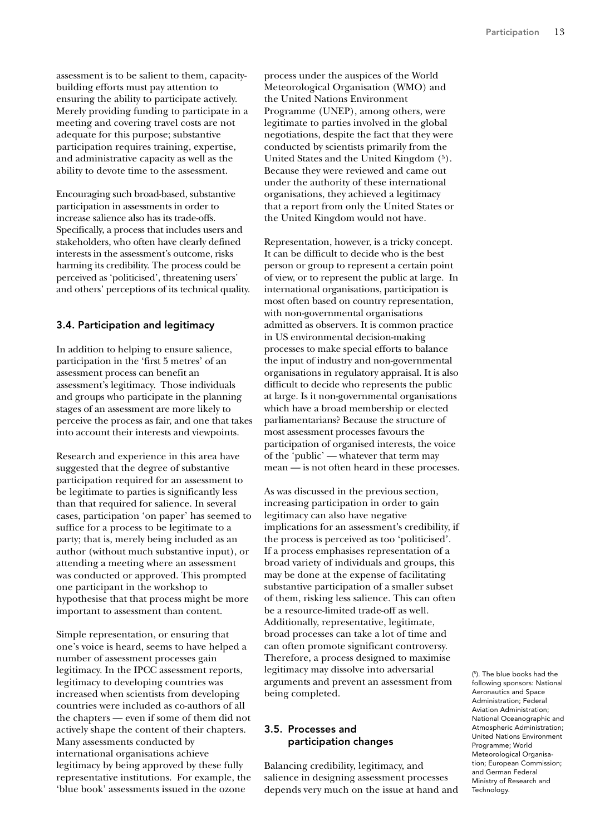assessment is to be salient to them, capacitybuilding efforts must pay attention to ensuring the ability to participate actively. Merely providing funding to participate in a meeting and covering travel costs are not adequate for this purpose; substantive participation requires training, expertise, and administrative capacity as well as the ability to devote time to the assessment.

Encouraging such broad-based, substantive participation in assessments in order to increase salience also has its trade-offs. Specifically, a process that includes users and stakeholders, who often have clearly defined interests in the assessment's outcome, risks harming its credibility. The process could be perceived as 'politicised', threatening users' and others' perceptions of its technical quality.

### 3.4. Participation and legitimacy

In addition to helping to ensure salience, participation in the 'first 5 metres' of an assessment process can benefit an assessment's legitimacy. Those individuals and groups who participate in the planning stages of an assessment are more likely to perceive the process as fair, and one that takes into account their interests and viewpoints.

Research and experience in this area have suggested that the degree of substantive participation required for an assessment to be legitimate to parties is significantly less than that required for salience. In several cases, participation 'on paper' has seemed to suffice for a process to be legitimate to a party; that is, merely being included as an author (without much substantive input), or attending a meeting where an assessment was conducted or approved. This prompted one participant in the workshop to hypothesise that that process might be more important to assessment than content.

Simple representation, or ensuring that one's voice is heard, seems to have helped a number of assessment processes gain legitimacy. In the IPCC assessment reports, legitimacy to developing countries was increased when scientists from developing countries were included as co-authors of all the chapters — even if some of them did not actively shape the content of their chapters. Many assessments conducted by international organisations achieve legitimacy by being approved by these fully representative institutions. For example, the 'blue book' assessments issued in the ozone

process under the auspices of the World Meteorological Organisation (WMO) and the United Nations Environment Programme (UNEP), among others, were legitimate to parties involved in the global negotiations, despite the fact that they were conducted by scientists primarily from the United States and the United Kingdom (5). Because they were reviewed and came out under the authority of these international organisations, they achieved a legitimacy that a report from only the United States or the United Kingdom would not have.

Representation, however, is a tricky concept. It can be difficult to decide who is the best person or group to represent a certain point of view, or to represent the public at large. In international organisations, participation is most often based on country representation, with non-governmental organisations admitted as observers. It is common practice in US environmental decision-making processes to make special efforts to balance the input of industry and non-governmental organisations in regulatory appraisal. It is also difficult to decide who represents the public at large. Is it non-governmental organisations which have a broad membership or elected parliamentarians? Because the structure of most assessment processes favours the participation of organised interests, the voice of the 'public' — whatever that term may mean — is not often heard in these processes.

As was discussed in the previous section, increasing participation in order to gain legitimacy can also have negative implications for an assessment's credibility, if the process is perceived as too 'politicised'. If a process emphasises representation of a broad variety of individuals and groups, this may be done at the expense of facilitating substantive participation of a smaller subset of them, risking less salience. This can often be a resource-limited trade-off as well. Additionally, representative, legitimate, broad processes can take a lot of time and can often promote significant controversy. Therefore, a process designed to maximise legitimacy may dissolve into adversarial arguments and prevent an assessment from being completed.

### 3.5. Processes and participation changes

Balancing credibility, legitimacy, and salience in designing assessment processes depends very much on the issue at hand and

( 5). The blue books had the following sponsors: National Aeronautics and Space Administration; Federal Aviation Administration; National Oceanographic and Atmospheric Administration; United Nations Environment Programme; World Meteorological Organisation; European Commission; and German Federal Ministry of Research and Technology.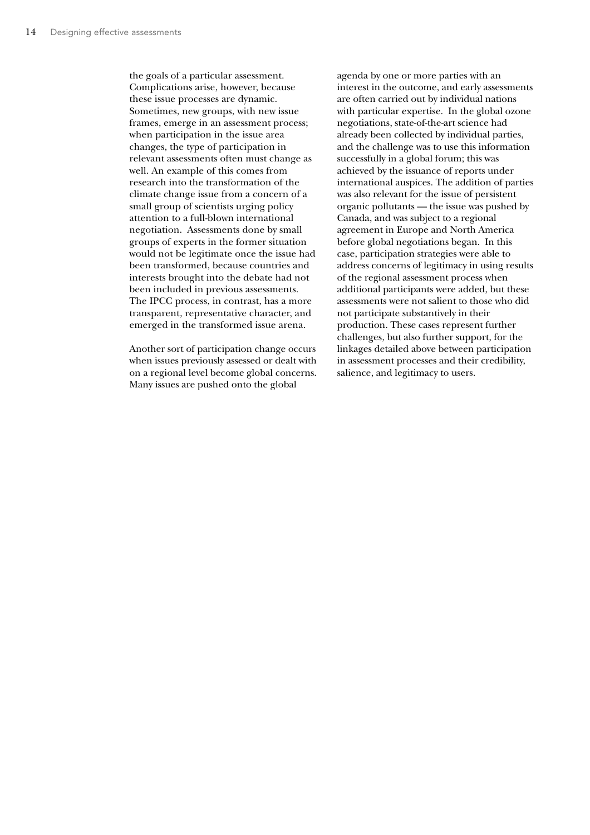the goals of a particular assessment. Complications arise, however, because these issue processes are dynamic. Sometimes, new groups, with new issue frames, emerge in an assessment process; when participation in the issue area changes, the type of participation in relevant assessments often must change as well. An example of this comes from research into the transformation of the climate change issue from a concern of a small group of scientists urging policy attention to a full-blown international negotiation. Assessments done by small groups of experts in the former situation would not be legitimate once the issue had been transformed, because countries and interests brought into the debate had not been included in previous assessments. The IPCC process, in contrast, has a more transparent, representative character, and emerged in the transformed issue arena.

Another sort of participation change occurs when issues previously assessed or dealt with on a regional level become global concerns. Many issues are pushed onto the global

agenda by one or more parties with an interest in the outcome, and early assessments are often carried out by individual nations with particular expertise. In the global ozone negotiations, state-of-the-art science had already been collected by individual parties, and the challenge was to use this information successfully in a global forum; this was achieved by the issuance of reports under international auspices. The addition of parties was also relevant for the issue of persistent organic pollutants — the issue was pushed by Canada, and was subject to a regional agreement in Europe and North America before global negotiations began. In this case, participation strategies were able to address concerns of legitimacy in using results of the regional assessment process when additional participants were added, but these assessments were not salient to those who did not participate substantively in their production. These cases represent further challenges, but also further support, for the linkages detailed above between participation in assessment processes and their credibility, salience, and legitimacy to users.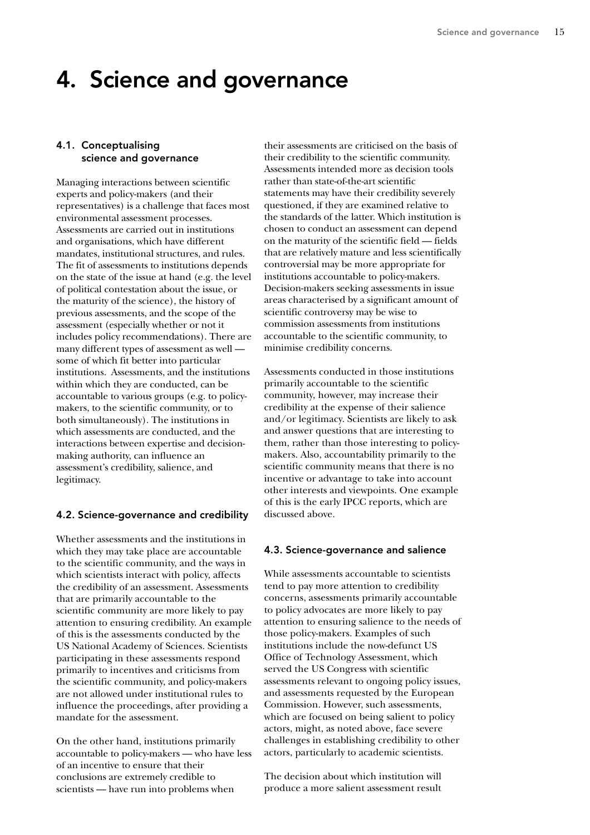### 4. Science and governance

### 4.1. Conceptualising science and governance

Managing interactions between scientific experts and policy-makers (and their representatives) is a challenge that faces most environmental assessment processes. Assessments are carried out in institutions and organisations, which have different mandates, institutional structures, and rules. The fit of assessments to institutions depends on the state of the issue at hand (e.g. the level of political contestation about the issue, or the maturity of the science), the history of previous assessments, and the scope of the assessment (especially whether or not it includes policy recommendations). There are many different types of assessment as well some of which fit better into particular institutions. Assessments, and the institutions within which they are conducted, can be accountable to various groups (e.g. to policymakers, to the scientific community, or to both simultaneously). The institutions in which assessments are conducted, and the interactions between expertise and decisionmaking authority, can influence an assessment's credibility, salience, and legitimacy.

### 4.2. Science-governance and credibility

Whether assessments and the institutions in which they may take place are accountable to the scientific community, and the ways in which scientists interact with policy, affects the credibility of an assessment. Assessments that are primarily accountable to the scientific community are more likely to pay attention to ensuring credibility. An example of this is the assessments conducted by the US National Academy of Sciences. Scientists participating in these assessments respond primarily to incentives and criticisms from the scientific community, and policy-makers are not allowed under institutional rules to influence the proceedings, after providing a mandate for the assessment.

On the other hand, institutions primarily accountable to policy-makers — who have less of an incentive to ensure that their conclusions are extremely credible to scientists — have run into problems when

their assessments are criticised on the basis of their credibility to the scientific community. Assessments intended more as decision tools rather than state-of-the-art scientific statements may have their credibility severely questioned, if they are examined relative to the standards of the latter. Which institution is chosen to conduct an assessment can depend on the maturity of the scientific field — fields that are relatively mature and less scientifically controversial may be more appropriate for institutions accountable to policy-makers. Decision-makers seeking assessments in issue areas characterised by a significant amount of scientific controversy may be wise to commission assessments from institutions accountable to the scientific community, to minimise credibility concerns.

Assessments conducted in those institutions primarily accountable to the scientific community, however, may increase their credibility at the expense of their salience and/or legitimacy. Scientists are likely to ask and answer questions that are interesting to them, rather than those interesting to policymakers. Also, accountability primarily to the scientific community means that there is no incentive or advantage to take into account other interests and viewpoints. One example of this is the early IPCC reports, which are discussed above.

### 4.3. Science-governance and salience

While assessments accountable to scientists tend to pay more attention to credibility concerns, assessments primarily accountable to policy advocates are more likely to pay attention to ensuring salience to the needs of those policy-makers. Examples of such institutions include the now-defunct US Office of Technology Assessment, which served the US Congress with scientific assessments relevant to ongoing policy issues, and assessments requested by the European Commission. However, such assessments, which are focused on being salient to policy actors, might, as noted above, face severe challenges in establishing credibility to other actors, particularly to academic scientists.

The decision about which institution will produce a more salient assessment result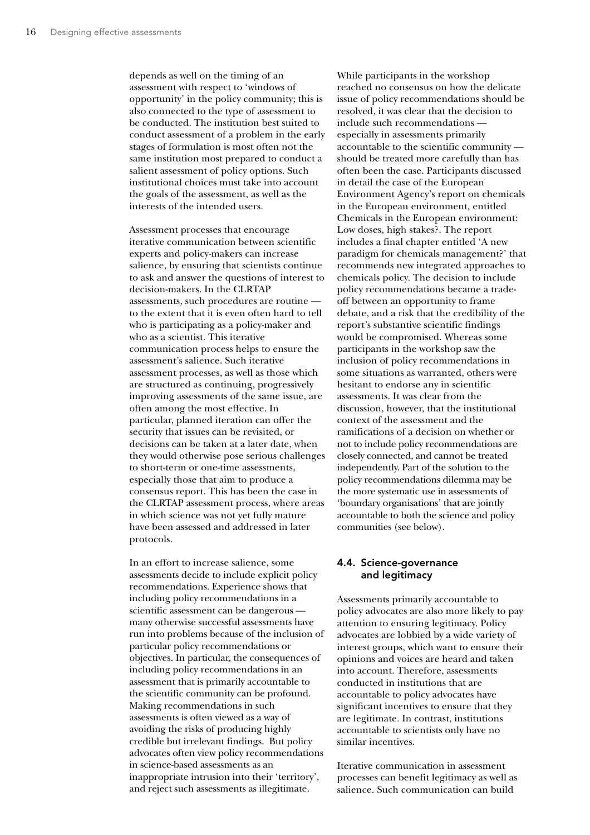depends as well on the timing of an assessment with respect to 'windows of opportunity' in the policy community; this is also connected to the type of assessment to be conducted. The institution best suited to conduct assessment of a problem in the early stages of formulation is most often not the same institution most prepared to conduct a salient assessment of policy options. Such institutional choices must take into account the goals of the assessment, as well as the interests of the intended users.

Assessment processes that encourage iterative communication between scientific experts and policy-makers can increase salience, by ensuring that scientists continue to ask and answer the questions of interest to decision-makers. In the CLRTAP assessments, such procedures are routine to the extent that it is even often hard to tell who is participating as a policy-maker and who as a scientist. This iterative communication process helps to ensure the assessment's salience. Such iterative assessment processes, as well as those which are structured as continuing, progressively improving assessments of the same issue, are often among the most effective. In particular, planned iteration can offer the security that issues can be revisited, or decisions can be taken at a later date, when they would otherwise pose serious challenges to short-term or one-time assessments, especially those that aim to produce a consensus report. This has been the case in the CLRTAP assessment process, where areas in which science was not yet fully mature have been assessed and addressed in later protocols.

In an effort to increase salience, some assessments decide to include explicit policy recommendations. Experience shows that including policy recommendations in a scientific assessment can be dangerous many otherwise successful assessments have run into problems because of the inclusion of particular policy recommendations or objectives. In particular, the consequences of including policy recommendations in an assessment that is primarily accountable to the scientific community can be profound. Making recommendations in such assessments is often viewed as a way of avoiding the risks of producing highly credible but irrelevant findings. But policy advocates often view policy recommendations in science-based assessments as an inappropriate intrusion into their 'territory', and reject such assessments as illegitimate.

While participants in the workshop reached no consensus on how the delicate issue of policy recommendations should be resolved, it was clear that the decision to include such recommendations especially in assessments primarily accountable to the scientific community should be treated more carefully than has often been the case. Participants discussed in detail the case of the European Environment Agency's report on chemicals in the European environment, entitled Chemicals in the European environment: Low doses, high stakes?. The report includes a final chapter entitled 'A new paradigm for chemicals management?' that recommends new integrated approaches to chemicals policy. The decision to include policy recommendations became a tradeoff between an opportunity to frame debate, and a risk that the credibility of the report's substantive scientific findings would be compromised. Whereas some participants in the workshop saw the inclusion of policy recommendations in some situations as warranted, others were hesitant to endorse any in scientific assessments. It was clear from the discussion, however, that the institutional context of the assessment and the ramifications of a decision on whether or not to include policy recommendations are closely connected, and cannot be treated independently. Part of the solution to the policy recommendations dilemma may be the more systematic use in assessments of 'boundary organisations' that are jointly accountable to both the science and policy communities (see below).

### 4.4. Science-governance and legitimacy

Assessments primarily accountable to policy advocates are also more likely to pay attention to ensuring legitimacy. Policy advocates are lobbied by a wide variety of interest groups, which want to ensure their opinions and voices are heard and taken into account. Therefore, assessments conducted in institutions that are accountable to policy advocates have significant incentives to ensure that they are legitimate. In contrast, institutions accountable to scientists only have no similar incentives.

Iterative communication in assessment processes can benefit legitimacy as well as salience. Such communication can build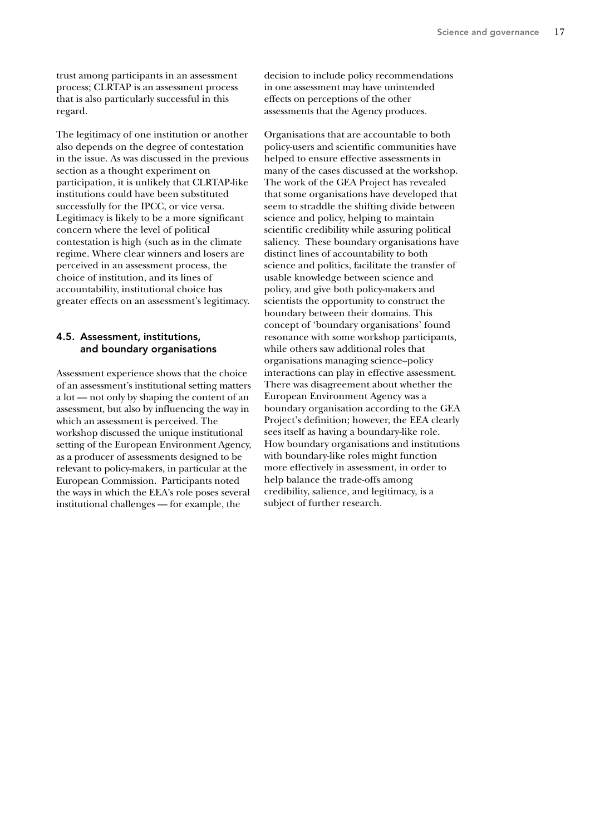trust among participants in an assessment process; CLRTAP is an assessment process that is also particularly successful in this regard.

The legitimacy of one institution or another also depends on the degree of contestation in the issue. As was discussed in the previous section as a thought experiment on participation, it is unlikely that CLRTAP-like institutions could have been substituted successfully for the IPCC, or vice versa. Legitimacy is likely to be a more significant concern where the level of political contestation is high (such as in the climate regime. Where clear winners and losers are perceived in an assessment process, the choice of institution, and its lines of accountability, institutional choice has greater effects on an assessment's legitimacy.

### 4.5. Assessment, institutions, and boundary organisations

Assessment experience shows that the choice of an assessment's institutional setting matters a lot — not only by shaping the content of an assessment, but also by influencing the way in which an assessment is perceived. The workshop discussed the unique institutional setting of the European Environment Agency, as a producer of assessments designed to be relevant to policy-makers, in particular at the European Commission. Participants noted the ways in which the EEA's role poses several institutional challenges — for example, the

decision to include policy recommendations in one assessment may have unintended effects on perceptions of the other assessments that the Agency produces.

Organisations that are accountable to both policy-users and scientific communities have helped to ensure effective assessments in many of the cases discussed at the workshop. The work of the GEA Project has revealed that some organisations have developed that seem to straddle the shifting divide between science and policy, helping to maintain scientific credibility while assuring political saliency. These boundary organisations have distinct lines of accountability to both science and politics, facilitate the transfer of usable knowledge between science and policy, and give both policy-makers and scientists the opportunity to construct the boundary between their domains. This concept of 'boundary organisations' found resonance with some workshop participants, while others saw additional roles that organisations managing science–policy interactions can play in effective assessment. There was disagreement about whether the European Environment Agency was a boundary organisation according to the GEA Project's definition; however, the EEA clearly sees itself as having a boundary-like role. How boundary organisations and institutions with boundary-like roles might function more effectively in assessment, in order to help balance the trade-offs among credibility, salience, and legitimacy, is a subject of further research.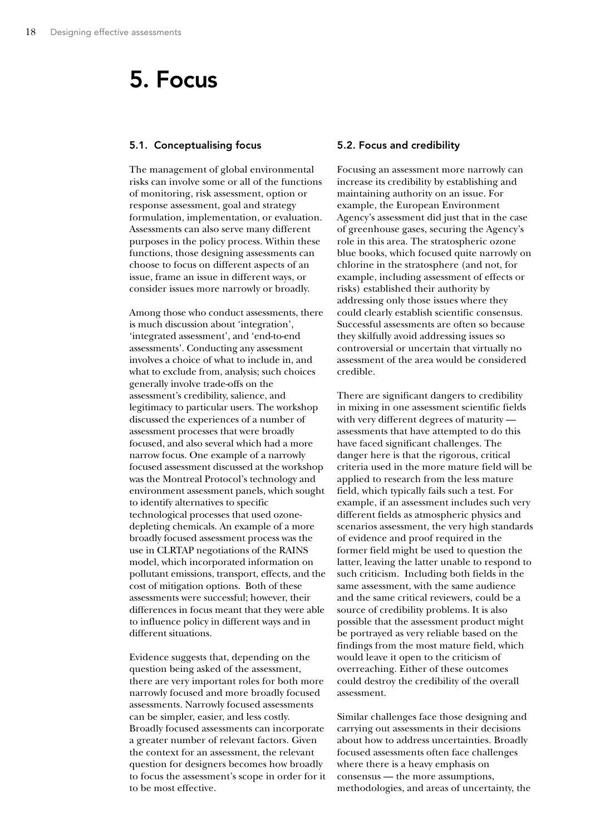## 5. Focus

### 5.1. Conceptualising focus

The management of global environmental risks can involve some or all of the functions of monitoring, risk assessment, option or response assessment, goal and strategy formulation, implementation, or evaluation. Assessments can also serve many different purposes in the policy process. Within these functions, those designing assessments can choose to focus on different aspects of an issue, frame an issue in different ways, or consider issues more narrowly or broadly.

Among those who conduct assessments, there is much discussion about 'integration', 'integrated assessment', and 'end-to-end assessments'. Conducting any assessment involves a choice of what to include in, and what to exclude from, analysis; such choices generally involve trade-offs on the assessment's credibility, salience, and legitimacy to particular users. The workshop discussed the experiences of a number of assessment processes that were broadly focused, and also several which had a more narrow focus. One example of a narrowly focused assessment discussed at the workshop was the Montreal Protocol's technology and environment assessment panels, which sought to identify alternatives to specific technological processes that used ozonedepleting chemicals. An example of a more broadly focused assessment process was the use in CLRTAP negotiations of the RAINS model, which incorporated information on pollutant emissions, transport, effects, and the cost of mitigation options. Both of these assessments were successful; however, their differences in focus meant that they were able to influence policy in different ways and in different situations.

Evidence suggests that, depending on the question being asked of the assessment, there are very important roles for both more narrowly focused and more broadly focused assessments. Narrowly focused assessments can be simpler, easier, and less costly. Broadly focused assessments can incorporate a greater number of relevant factors. Given the context for an assessment, the relevant question for designers becomes how broadly to focus the assessment's scope in order for it to be most effective.

### 5.2. Focus and credibility

Focusing an assessment more narrowly can increase its credibility by establishing and maintaining authority on an issue. For example, the European Environment Agency's assessment did just that in the case of greenhouse gases, securing the Agency's role in this area. The stratospheric ozone blue books, which focused quite narrowly on chlorine in the stratosphere (and not, for example, including assessment of effects or risks) established their authority by addressing only those issues where they could clearly establish scientific consensus. Successful assessments are often so because they skilfully avoid addressing issues so controversial or uncertain that virtually no assessment of the area would be considered credible.

There are significant dangers to credibility in mixing in one assessment scientific fields with very different degrees of maturity assessments that have attempted to do this have faced significant challenges. The danger here is that the rigorous, critical criteria used in the more mature field will be applied to research from the less mature field, which typically fails such a test. For example, if an assessment includes such very different fields as atmospheric physics and scenarios assessment, the very high standards of evidence and proof required in the former field might be used to question the latter, leaving the latter unable to respond to such criticism. Including both fields in the same assessment, with the same audience and the same critical reviewers, could be a source of credibility problems. It is also possible that the assessment product might be portrayed as very reliable based on the findings from the most mature field, which would leave it open to the criticism of overreaching. Either of these outcomes could destroy the credibility of the overall assessment.

Similar challenges face those designing and carrying out assessments in their decisions about how to address uncertainties. Broadly focused assessments often face challenges where there is a heavy emphasis on consensus — the more assumptions, methodologies, and areas of uncertainty, the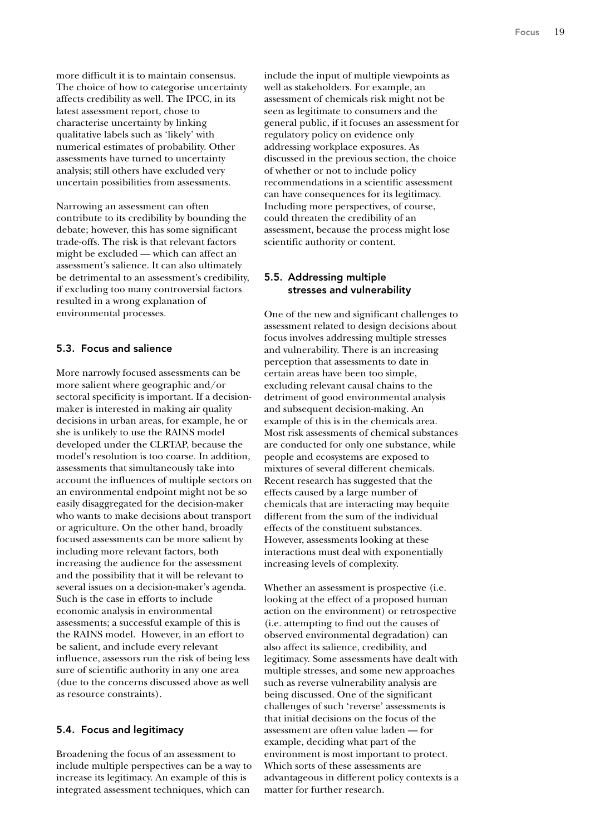more difficult it is to maintain consensus. The choice of how to categorise uncertainty affects credibility as well. The IPCC, in its latest assessment report, chose to characterise uncertainty by linking qualitative labels such as 'likely' with numerical estimates of probability. Other assessments have turned to uncertainty analysis; still others have excluded very uncertain possibilities from assessments.

Narrowing an assessment can often contribute to its credibility by bounding the debate; however, this has some significant trade-offs. The risk is that relevant factors might be excluded — which can affect an assessment's salience. It can also ultimately be detrimental to an assessment's credibility, if excluding too many controversial factors resulted in a wrong explanation of environmental processes.

### 5.3. Focus and salience

More narrowly focused assessments can be more salient where geographic and/or sectoral specificity is important. If a decisionmaker is interested in making air quality decisions in urban areas, for example, he or she is unlikely to use the RAINS model developed under the CLRTAP, because the model's resolution is too coarse. In addition, assessments that simultaneously take into account the influences of multiple sectors on an environmental endpoint might not be so easily disaggregated for the decision-maker who wants to make decisions about transport or agriculture. On the other hand, broadly focused assessments can be more salient by including more relevant factors, both increasing the audience for the assessment and the possibility that it will be relevant to several issues on a decision-maker's agenda. Such is the case in efforts to include economic analysis in environmental assessments; a successful example of this is the RAINS model. However, in an effort to be salient, and include every relevant influence, assessors run the risk of being less sure of scientific authority in any one area (due to the concerns discussed above as well as resource constraints).

#### 5.4. Focus and legitimacy

Broadening the focus of an assessment to include multiple perspectives can be a way to increase its legitimacy. An example of this is integrated assessment techniques, which can

include the input of multiple viewpoints as well as stakeholders. For example, an assessment of chemicals risk might not be seen as legitimate to consumers and the general public, if it focuses an assessment for regulatory policy on evidence only addressing workplace exposures. As discussed in the previous section, the choice of whether or not to include policy recommendations in a scientific assessment can have consequences for its legitimacy. Including more perspectives, of course, could threaten the credibility of an assessment, because the process might lose scientific authority or content.

### 5.5. Addressing multiple stresses and vulnerability

One of the new and significant challenges to assessment related to design decisions about focus involves addressing multiple stresses and vulnerability. There is an increasing perception that assessments to date in certain areas have been too simple, excluding relevant causal chains to the detriment of good environmental analysis and subsequent decision-making. An example of this is in the chemicals area. Most risk assessments of chemical substances are conducted for only one substance, while people and ecosystems are exposed to mixtures of several different chemicals. Recent research has suggested that the effects caused by a large number of chemicals that are interacting may bequite different from the sum of the individual effects of the constituent substances. However, assessments looking at these interactions must deal with exponentially increasing levels of complexity.

Whether an assessment is prospective (i.e. looking at the effect of a proposed human action on the environment) or retrospective (i.e. attempting to find out the causes of observed environmental degradation) can also affect its salience, credibility, and legitimacy. Some assessments have dealt with multiple stresses, and some new approaches such as reverse vulnerability analysis are being discussed. One of the significant challenges of such 'reverse' assessments is that initial decisions on the focus of the assessment are often value laden — for example, deciding what part of the environment is most important to protect. Which sorts of these assessments are advantageous in different policy contexts is a matter for further research.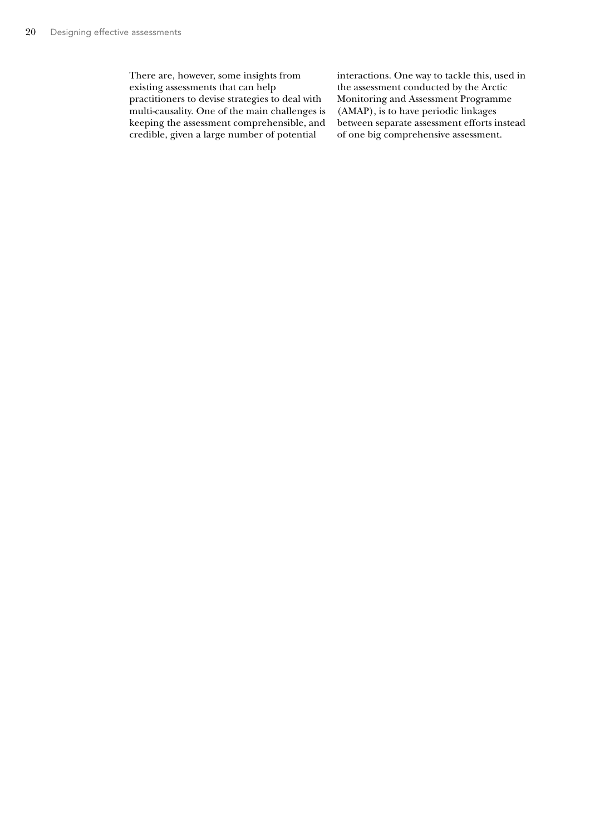There are, however, some insights from existing assessments that can help practitioners to devise strategies to deal with multi-causality. One of the main challenges is keeping the assessment comprehensible, and credible, given a large number of potential

interactions. One way to tackle this, used in the assessment conducted by the Arctic Monitoring and Assessment Programme (AMAP), is to have periodic linkages between separate assessment efforts instead of one big comprehensive assessment.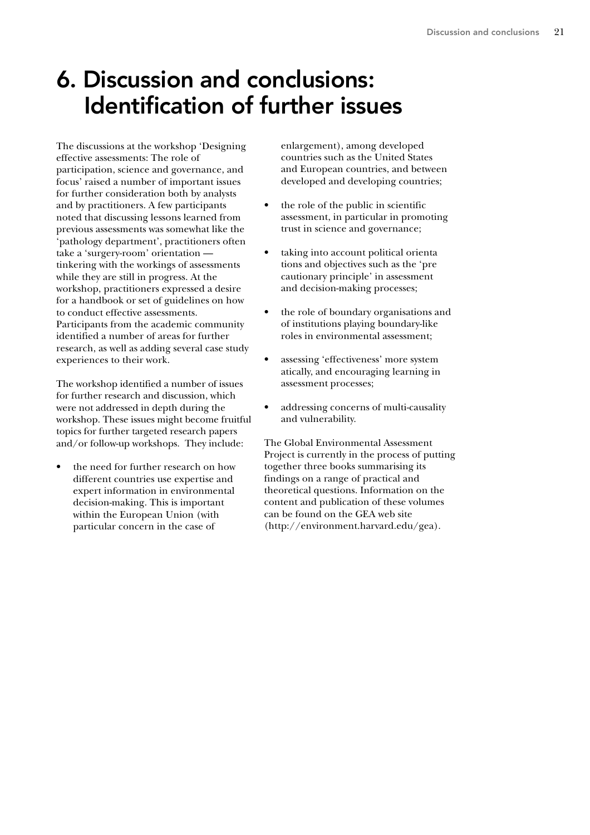# 6. Discussion and conclusions: Identification of further issues

The discussions at the workshop 'Designing effective assessments: The role of participation, science and governance, and focus' raised a number of important issues for further consideration both by analysts and by practitioners. A few participants noted that discussing lessons learned from previous assessments was somewhat like the 'pathology department', practitioners often take a 'surgery-room' orientation tinkering with the workings of assessments while they are still in progress. At the workshop, practitioners expressed a desire for a handbook or set of guidelines on how to conduct effective assessments. Participants from the academic community identified a number of areas for further research, as well as adding several case study experiences to their work.

The workshop identified a number of issues for further research and discussion, which were not addressed in depth during the workshop. These issues might become fruitful topics for further targeted research papers and/or follow-up workshops. They include:

• the need for further research on how different countries use expertise and expert information in environmental decision-making. This is important within the European Union (with particular concern in the case of

enlargement), among developed countries such as the United States and European countries, and between developed and developing countries;

- the role of the public in scientific assessment, in particular in promoting trust in science and governance;
- taking into account political orienta tions and objectives such as the 'pre cautionary principle' in assessment and decision-making processes;
- the role of boundary organisations and of institutions playing boundary-like roles in environmental assessment;
- assessing 'effectiveness' more system atically, and encouraging learning in assessment processes;
- addressing concerns of multi-causality and vulnerability.

The Global Environmental Assessment Project is currently in the process of putting together three books summarising its findings on a range of practical and theoretical questions. Information on the content and publication of these volumes can be found on the GEA web site (http://environment.harvard.edu/gea).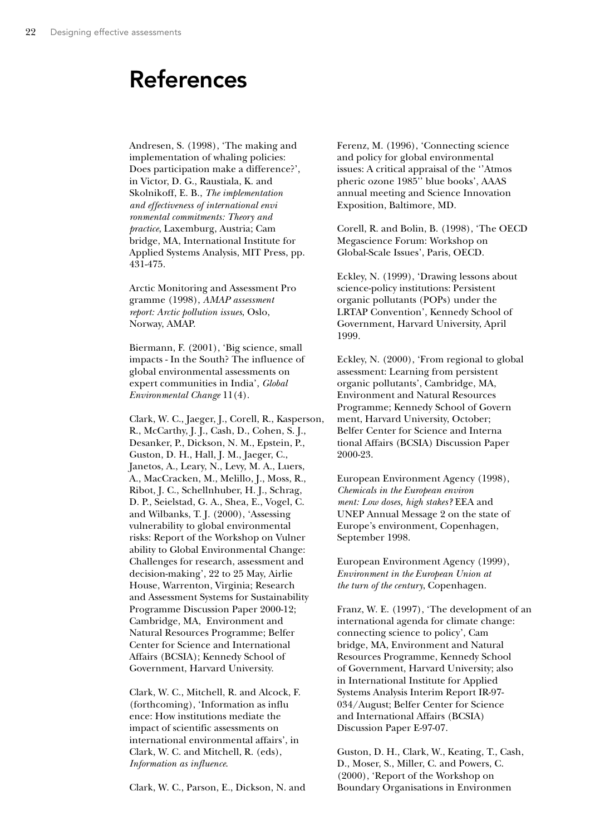## References

Andresen, S. (1998), 'The making and implementation of whaling policies: Does participation make a difference?', in Victor, D. G., Raustiala, K. and Skolnikoff, E. B., *The implementation and effectiveness of international envi ronmental commitments: Theory and practice*, Laxemburg, Austria; Cam bridge, MA, International Institute for Applied Systems Analysis, MIT Press, pp. 431-475.

Arctic Monitoring and Assessment Pro gramme (1998), *AMAP assessment report: Arctic pollution issues*, Oslo, Norway, AMAP.

Biermann, F. (2001), 'Big science, small impacts - In the South? The influence of global environmental assessments on expert communities in India', *Global Environmental Change* 11(4).

Clark, W. C., Jaeger, J., Corell, R., Kasperson, R., McCarthy, J. J., Cash, D., Cohen, S. J., Desanker, P., Dickson, N. M., Epstein, P., Guston, D. H., Hall, J. M., Jaeger, C., Janetos, A., Leary, N., Levy, M. A., Luers, A., MacCracken, M., Melillo, J., Moss, R., Ribot, J. C., Schellnhuber, H. J., Schrag, D. P., Seielstad, G. A., Shea, E., Vogel, C. and Wilbanks, T. J. (2000), 'Assessing vulnerability to global environmental risks: Report of the Workshop on Vulner ability to Global Environmental Change: Challenges for research, assessment and decision-making', 22 to 25 May, Airlie House, Warrenton, Virginia; Research and Assessment Systems for Sustainability Programme Discussion Paper 2000-12; Cambridge, MA, Environment and Natural Resources Programme; Belfer Center for Science and International Affairs (BCSIA); Kennedy School of Government, Harvard University.

Clark, W. C., Mitchell, R. and Alcock, F. (forthcoming), 'Information as influ ence: How institutions mediate the impact of scientific assessments on international environmental affairs', in Clark, W. C. and Mitchell, R. (eds), *Information as influence*.

Clark, W. C., Parson, E., Dickson, N. and

Ferenz, M. (1996), 'Connecting science and policy for global environmental issues: A critical appraisal of the ''Atmos pheric ozone 1985'' blue books', AAAS annual meeting and Science Innovation Exposition, Baltimore, MD.

Corell, R. and Bolin, B. (1998), 'The OECD Megascience Forum: Workshop on Global-Scale Issues', Paris, OECD.

Eckley, N. (1999), 'Drawing lessons about science-policy institutions: Persistent organic pollutants (POPs) under the LRTAP Convention', Kennedy School of Government, Harvard University, April 1999.

Eckley, N. (2000), 'From regional to global assessment: Learning from persistent organic pollutants', Cambridge, MA, Environment and Natural Resources Programme; Kennedy School of Govern ment, Harvard University, October; Belfer Center for Science and Interna tional Affairs (BCSIA) Discussion Paper 2000-23.

European Environment Agency (1998), *Chemicals in the European environ ment: Low doses, high stakes?* EEA and UNEP Annual Message 2 on the state of Europe's environment, Copenhagen, September 1998.

European Environment Agency (1999), *Environment in the European Union at the turn of the century*, Copenhagen.

Franz, W. E. (1997), 'The development of an international agenda for climate change: connecting science to policy', Cam bridge, MA, Environment and Natural Resources Programme, Kennedy School of Government, Harvard University; also in International Institute for Applied Systems Analysis Interim Report IR-97- 034/August; Belfer Center for Science and International Affairs (BCSIA) Discussion Paper E-97-07.

Guston, D. H., Clark, W., Keating, T., Cash, D., Moser, S., Miller, C. and Powers, C. (2000), 'Report of the Workshop on Boundary Organisations in Environmen